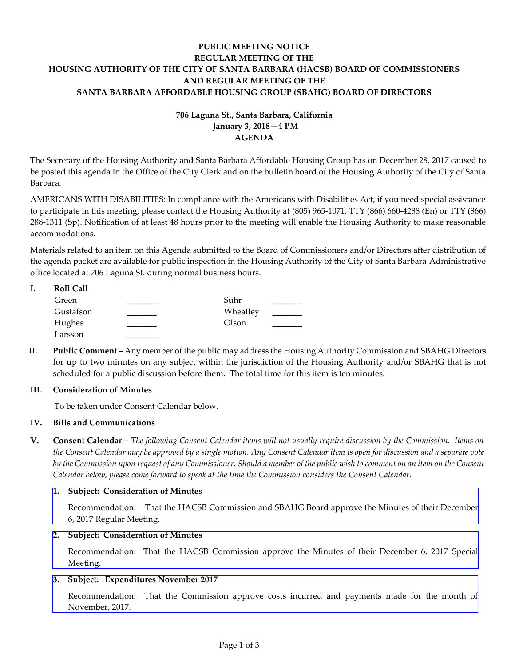## **PUBLIC MEETING NOTICE REGULAR MEETING OF THE HOUSING AUTHORITY OF THE CITY OF SANTA BARBARA (HACSB) BOARD OF COMMISSIONERS AND REGULAR MEETING OF THE SANTA BARBARA AFFORDABLE HOUSING GROUP (SBAHG) BOARD OF DIRECTORS**

# **706 Laguna St., Santa Barbara, California January 3, 2018—4 PM AGENDA**

The Secretary of the Housing Authority and Santa Barbara Affordable Housing Group has on December 28, 2017 caused to be posted this agenda in the Office of the City Clerk and on the bulletin board of the Housing Authority of the City of Santa Barbara.

AMERICANS WITH DISABILITIES: In compliance with the Americans with Disabilities Act, if you need special assistance to participate in this meeting, please contact the Housing Authority at (805) 965-1071, TTY (866) 660-4288 (En) or TTY (866) 288-1311 (Sp). Notification of at least 48 hours prior to the meeting will enable the Housing Authority to make reasonable accommodations.

Materials related to an item on this Agenda submitted to the Board of Commissioners and/or Directors after distribution of the agenda packet are available for public inspection in the Housing Authority of the City of Santa Barbara Administrative office located at 706 Laguna St. during normal business hours.

| <b>Roll Call</b> |          |  |
|------------------|----------|--|
| Green            | Suhr     |  |
| Gustafson        | Wheatley |  |
| Hughes           | Olson    |  |
| Larsson          |          |  |

**II. Public Comment** – Any member of the public may address the Housing Authority Commission and SBAHG Directors for up to two minutes on any subject within the jurisdiction of the Housing Authority and/or SBAHG that is not scheduled for a public discussion before them. The total time for this item is ten minutes.

## **III. Consideration of Minutes**

To be taken under Consent Calendar below.

## **IV. Bills and Communications**

**V. Consent Calendar** – *The following Consent Calendar items will not usually require discussion by the Commission. Items on the Consent Calendar may be approved by a single motion. Any Consent Calendar item is open for discussion and a separate vote by the Commission upon request of any Commissioner. Should a member of the public wish to comment on an item on the Consent Calendar below, please come forward to speak at the time the Commission considers the Consent Calendar.*

## **1. Subject: Consideration of Minutes**

[Recommendation: That the HACSB Commission and SBAHG Board approve the Minutes of their December](http://hacsb.org/download/meetings_2018/items/01_january/item_V_I_2018_01_03.pdf)  6, 2017 Regular Meeting.

## **2. Subject: Consideration of Minutes**

[Recommendation: That the HACSB Commission approve the Minutes of their December 6, 2017 Special](http://hacsb.org/download/meetings_2018/items/01_january/item_V_II_2018_01_03.pdf) Meeting.

## **3. Subject: Expenditures November 2017**

[Recommendation: That the Commission approve costs incurred and payments made for the month of](http://hacsb.org/download/meetings_2018/items/01_january/item_V_III_2018_01_03.pdf) November, 2017.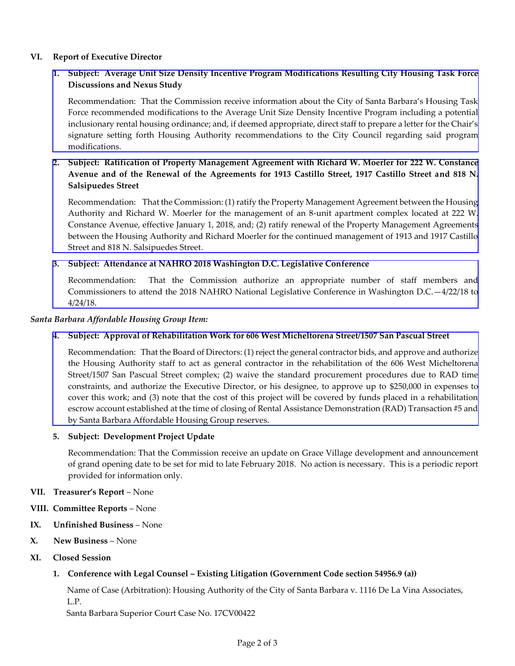## **VI. Report of Executive Director**

## **1. [Subject: Average Unit Size Density Incentive Program Modifications Resulting City Housing Task Force](http://hacsb.org/download/meetings_2018/items/01_january/item_VI_I_2018_01_03.pdf)  Discussions and Nexus Study**

Recommendation: That the Commission receive information about the City of Santa Barbara's Housing Task Force recommended modifications to the Average Unit Size Density Incentive Program including a potential inclusionary rental housing ordinance; and, if deemed appropriate, direct staff to prepare a letter for the Chair's signature setting forth Housing Authority recommendations to the City Council regarding said program modifications.

## **2. Subject: Ratification of Property Management Agreement with Richard W. Moerler for 222 W. Constance Avenue and of the Renewal of the Agreements for 1913 Castillo Street, 1917 Castillo Street and 818 N. Salsipuedes Street**

[Recommendation: That the Commission: \(1\) ratify the Property Management Agreement between the Housing](http://hacsb.org/download/meetings_2018/items/01_january/item_VI_II_2018_01_03.pdf)  Authority and Richard W. Moerler for the management of an 8-unit apartment complex located at 222 W. Constance Avenue, effective January 1, 2018, and; (2) ratify renewal of the Property Management Agreements between the Housing Authority and Richard Moerler for the continued management of 1913 and 1917 Castillo Street and 818 N. Salsipuedes Street.

### **3. Subject: Attendance at NAHRO 2018 Washington D.C. Legislative Conference**

[Recommendation: That the Commission authorize an appropriate number of staff members and](http://hacsb.org/download/meetings_2018/items/01_january/item_VI_III_2018_01_03.pdf)  Commissioners to attend the 2018 NAHRO National Legislative Conference in Washington D.C.—4/22/18 to 4/24/18.

#### *Santa Barbara Affordable Housing Group Item:*

## **4. Subject: Approval of Rehabilitation Work for 606 West Micheltorena Street/1507 San Pascual Street**

Recommendation: That the Board of Directors: (1) reject the general contractor bids, and approve and authorize [the Housing Authority staff to act as general contractor in the rehabilitation of the 606 West Micheltorena](http://hacsb.org/download/meetings_2018/items/01_january/item_VI_IV_2018_01_03.pdf)  Street/1507 San Pascual Street complex; (2) waive the standard procurement procedures due to RAD time constraints, and authorize the Executive Director, or his designee, to approve up to \$250,000 in expenses to cover this work; and (3) note that the cost of this project will be covered by funds placed in a rehabilitation escrow account established at the time of closing of Rental Assistance Demonstration (RAD) Transaction #5 and by Santa Barbara Affordable Housing Group reserves.

#### **5. Subject: Development Project Update**

Recommendation: That the Commission receive an update on Grace Village development and announcement of grand opening date to be set for mid to late February 2018. No action is necessary. This is a periodic report provided for information only.

#### **VII. Treasurer's Report** – None

- **VIII. Committee Reports**  None
- **IX. Unfinished Business**  None
- **X. New Business** None
- **XI. Closed Session**

## **1. Conference with Legal Counsel – Existing Litigation (Government Code section 54956.9 (a))**

 Name of Case (Arbitration): Housing Authority of the City of Santa Barbara v. 1116 De La Vina Associates, L.P. Santa Barbara Superior Court Case No. 17CV00422

Page 2 of 3